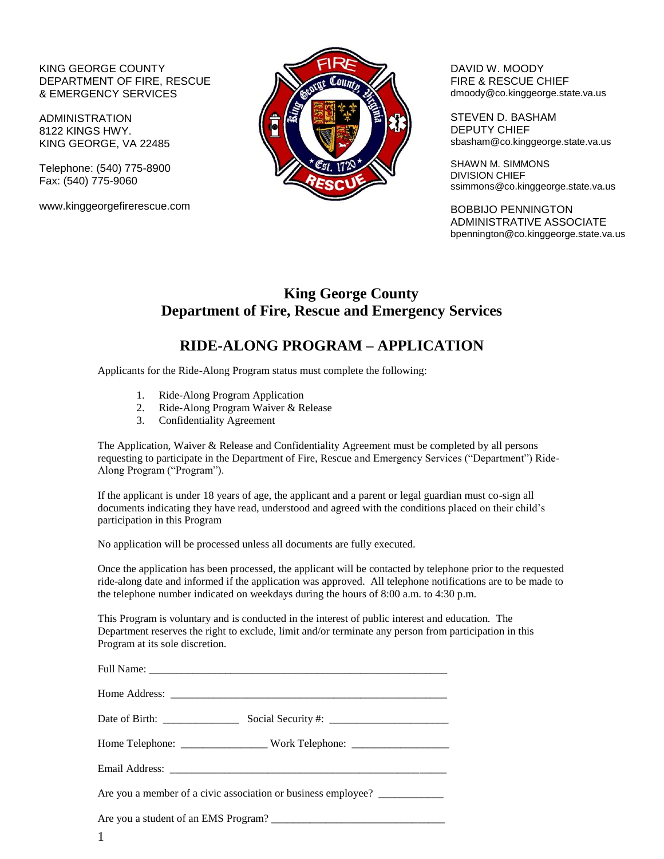### KING GEORGE COUNTY DEPARTMENT OF FIRE, RESCUE & EMERGENCY SERVICES

ADMINISTRATION 8122 KINGS HWY. KING GEORGE, VA 22485

Telephone: (540) 775-8900 Fax: (540) 775-9060

www.kinggeorgefirerescue.com



DAVID W. MOODY FIRE & RESCUE CHIEF dmoody@co.kinggeorge.state.va.us

STEVEN D. BASHAM DEPUTY CHIEF sbasham@co.kinggeorge.state.va.us

SHAWN M. SIMMONS DIVISION CHIEF ssimmons@co.kinggeorge.state.va.us

BOBBIJO PENNINGTON ADMINISTRATIVE ASSOCIATE bpennington@co.kinggeorge.state.va.us

## **King George County Department of Fire, Rescue and Emergency Services**

## **RIDE-ALONG PROGRAM – APPLICATION**

Applicants for the Ride-Along Program status must complete the following:

- 1. Ride-Along Program Application
- 2. Ride-Along Program Waiver & Release
- 3. Confidentiality Agreement

The Application, Waiver & Release and Confidentiality Agreement must be completed by all persons requesting to participate in the Department of Fire, Rescue and Emergency Services ("Department") Ride-Along Program ("Program").

If the applicant is under 18 years of age, the applicant and a parent or legal guardian must co-sign all documents indicating they have read, understood and agreed with the conditions placed on their child's participation in this Program

No application will be processed unless all documents are fully executed.

Once the application has been processed, the applicant will be contacted by telephone prior to the requested ride-along date and informed if the application was approved. All telephone notifications are to be made to the telephone number indicated on weekdays during the hours of 8:00 a.m. to 4:30 p.m.

This Program is voluntary and is conducted in the interest of public interest and education. The Department reserves the right to exclude, limit and/or terminate any person from participation in this Program at its sole discretion.

| Home Telephone: __________________________Work Telephone: _______________________ |  |
|-----------------------------------------------------------------------------------|--|
|                                                                                   |  |
| Are you a member of a civic association or business employee? ___________________ |  |
|                                                                                   |  |
| 1                                                                                 |  |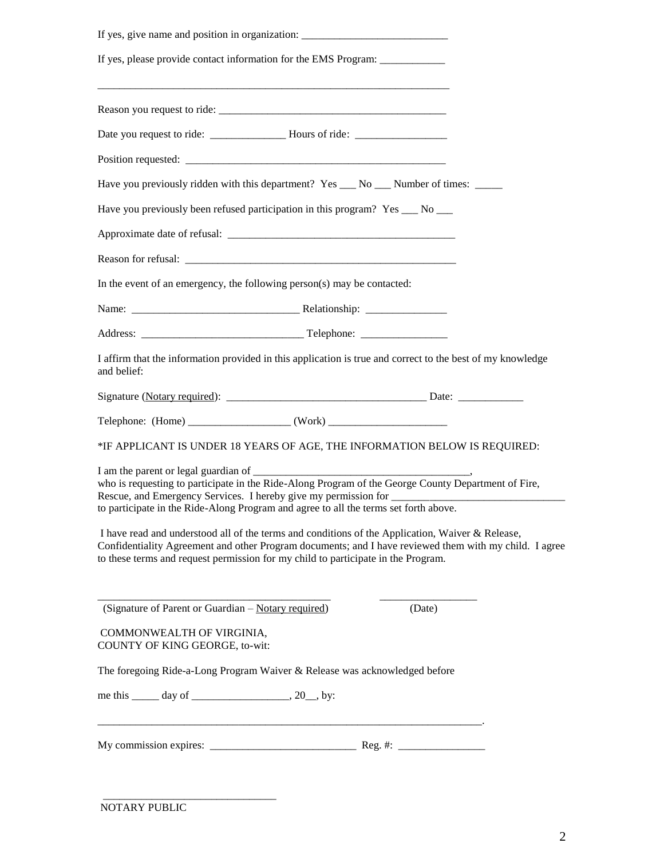| If yes, give name and position in organization:                                                                                                                                                                                                                                                 |  |  |  |  |  |
|-------------------------------------------------------------------------------------------------------------------------------------------------------------------------------------------------------------------------------------------------------------------------------------------------|--|--|--|--|--|
| If yes, please provide contact information for the EMS Program: ________________                                                                                                                                                                                                                |  |  |  |  |  |
|                                                                                                                                                                                                                                                                                                 |  |  |  |  |  |
| Date you request to ride: _______________________Hours of ride: _________________                                                                                                                                                                                                               |  |  |  |  |  |
|                                                                                                                                                                                                                                                                                                 |  |  |  |  |  |
| Have you previously ridden with this department? Yes ___ No ___ Number of times: ____                                                                                                                                                                                                           |  |  |  |  |  |
| Have you previously been refused participation in this program? Yes __ No __                                                                                                                                                                                                                    |  |  |  |  |  |
|                                                                                                                                                                                                                                                                                                 |  |  |  |  |  |
|                                                                                                                                                                                                                                                                                                 |  |  |  |  |  |
| In the event of an emergency, the following person(s) may be contacted:                                                                                                                                                                                                                         |  |  |  |  |  |
|                                                                                                                                                                                                                                                                                                 |  |  |  |  |  |
|                                                                                                                                                                                                                                                                                                 |  |  |  |  |  |
| I affirm that the information provided in this application is true and correct to the best of my knowledge<br>and belief:                                                                                                                                                                       |  |  |  |  |  |
|                                                                                                                                                                                                                                                                                                 |  |  |  |  |  |
| Telephone: $(Home)$ (Work) (Work)                                                                                                                                                                                                                                                               |  |  |  |  |  |
| *IF APPLICANT IS UNDER 18 YEARS OF AGE, THE INFORMATION BELOW IS REQUIRED:                                                                                                                                                                                                                      |  |  |  |  |  |
| who is requesting to participate in the Ride-Along Program of the George County Department of Fire,<br>to participate in the Ride-Along Program and agree to all the terms set forth above.                                                                                                     |  |  |  |  |  |
| I have read and understood all of the terms and conditions of the Application, Waiver & Release,<br>Confidentiality Agreement and other Program documents; and I have reviewed them with my child. I agree<br>to these terms and request permission for my child to participate in the Program. |  |  |  |  |  |
| (Date)<br>(Signature of Parent or Guardian – Notary required)                                                                                                                                                                                                                                   |  |  |  |  |  |
| COMMONWEALTH OF VIRGINIA,<br>COUNTY OF KING GEORGE, to-wit:                                                                                                                                                                                                                                     |  |  |  |  |  |
| The foregoing Ride-a-Long Program Waiver & Release was acknowledged before                                                                                                                                                                                                                      |  |  |  |  |  |
|                                                                                                                                                                                                                                                                                                 |  |  |  |  |  |
|                                                                                                                                                                                                                                                                                                 |  |  |  |  |  |

\_\_\_\_\_\_\_\_\_\_\_\_\_\_\_\_\_\_\_\_\_\_\_\_\_\_\_\_\_\_\_\_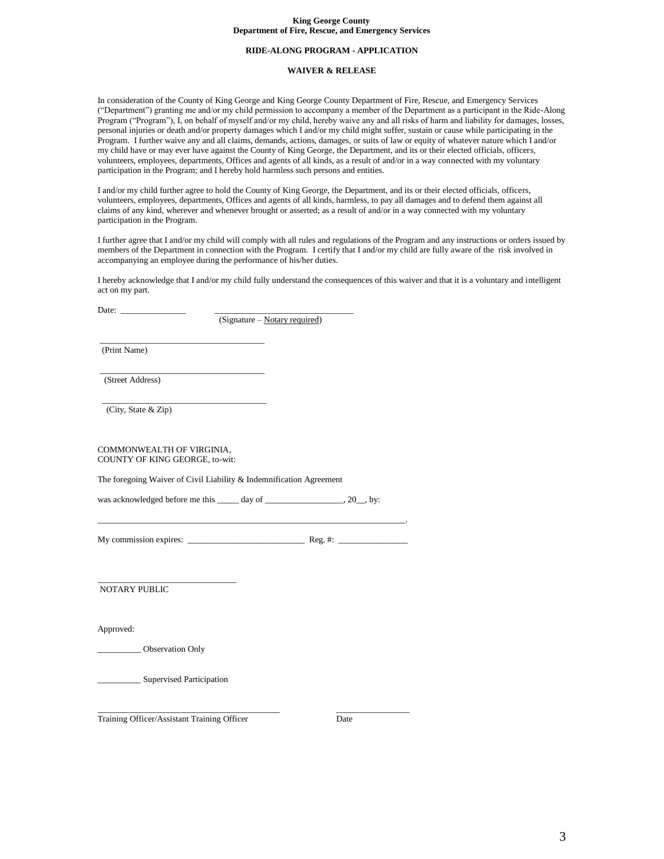#### **King George County Department of Fire, Rescue, and Emergency Services**

#### **RIDE-ALONG PROGRAM - APPLICATION**

#### **WAIVER & RELEASE**

In consideration of the County of King George and King George County Department of Fire, Rescue, and Emergency Services ("Department") granting me and/or my child permission to accompany a member of the Department as a participant in the Ride-Along Program ("Program"), I, on behalf of myself and/or my child, hereby waive any and all risks of harm and liability for damages, losses, personal injuries or death and/or property damages which I and/or my child might suffer, sustain or cause while participating in the Program. I further waive any and all claims, demands, actions, damages, or suits of law or equity of whatever nature which I and/or my child have or may ever have against the County of King George, the Department, and its or their elected officials, officers, volunteers, employees, departments, Offices and agents of all kinds, as a result of and/or in a way connected with my voluntary participation in the Program; and I hereby hold harmless such persons and entities.

I and/or my child further agree to hold the County of King George, the Department, and its or their elected officials, officers, volunteers, employees, departments, Offices and agents of all kinds, harmless, to pay all damages and to defend them against all claims of any kind, wherever and whenever brought or asserted; as a result of and/or in a way connected with my voluntary participation in the Program.

I further agree that I and/or my child will comply with all rules and regulations of the Program and any instructions or orders issued by members of the Department in connection with the Program. I certify that I and/or my child are fully aware of the risk involved in accompanying an employee during the performance of his/her duties.

I hereby acknowledge that I and/or my child fully understand the consequences of this waiver and that it is a voluntary and intelligent act on my part.

Date:  $\Box$ 

(Signature – Notary required)

\_\_\_\_\_\_\_\_\_\_\_\_\_\_\_\_\_\_\_\_\_\_\_\_\_\_\_\_\_\_\_\_\_\_\_\_\_\_ (Print Name)

\_\_\_\_\_\_\_\_\_\_\_\_\_\_\_\_\_\_\_\_\_\_\_\_\_\_\_\_\_\_\_\_\_\_\_\_\_\_ (Street Address)

(City, State & Zip)

COMMONWEALTH OF VIRGINIA, COUNTY OF KING GEORGE, to-wit:

\_\_\_\_\_\_\_\_\_\_\_\_\_\_\_\_\_\_\_\_\_\_\_\_\_\_\_\_\_\_\_\_\_\_\_\_\_\_

The foregoing Waiver of Civil Liability & Indemnification Agreement

was acknowledged before me this \_\_\_\_\_ day of \_\_\_\_\_\_\_\_\_\_\_\_\_\_\_\_, 20\_, by:

\_\_\_\_\_\_\_\_\_\_\_\_\_\_\_\_\_\_\_\_\_\_\_\_\_\_\_\_\_\_\_\_\_\_\_\_\_\_\_\_\_\_\_\_\_\_\_\_\_\_\_\_\_\_\_\_\_\_\_\_\_\_\_\_\_\_\_\_\_\_\_. My commission expires:  $\frac{1}{\sqrt{1-\frac{1}{2}}\sqrt{1-\frac{1}{2}}\sqrt{1-\frac{1}{2}}\sqrt{1-\frac{1}{2}}\sqrt{1-\frac{1}{2}}\sqrt{1-\frac{1}{2}}\sqrt{1-\frac{1}{2}}\sqrt{1-\frac{1}{2}}\sqrt{1-\frac{1}{2}}\sqrt{1-\frac{1}{2}}\sqrt{1-\frac{1}{2}}\sqrt{1-\frac{1}{2}}\sqrt{1-\frac{1}{2}}\sqrt{1-\frac{1}{2}}\sqrt{1-\frac{1}{2}}\sqrt{1-\frac{1}{2}}\sqrt{1-\frac{1}{2}}\sqrt{1-\$ 

\_\_\_\_\_\_\_\_\_\_\_\_\_\_\_\_\_\_\_\_\_\_\_\_\_\_\_\_\_\_\_\_ NOTARY PUBLIC

Approved:

\_\_\_\_\_\_\_\_\_\_ Observation Only

\_\_\_\_\_\_\_\_\_\_ Supervised Participation

Training Officer/Assistant Training Officer Date

\_\_\_\_\_\_\_\_\_\_\_\_\_\_\_\_\_\_\_\_\_\_\_\_\_\_\_\_\_\_\_\_\_\_\_\_\_\_\_\_\_\_ \_\_\_\_\_\_\_\_\_\_\_\_\_\_\_\_\_